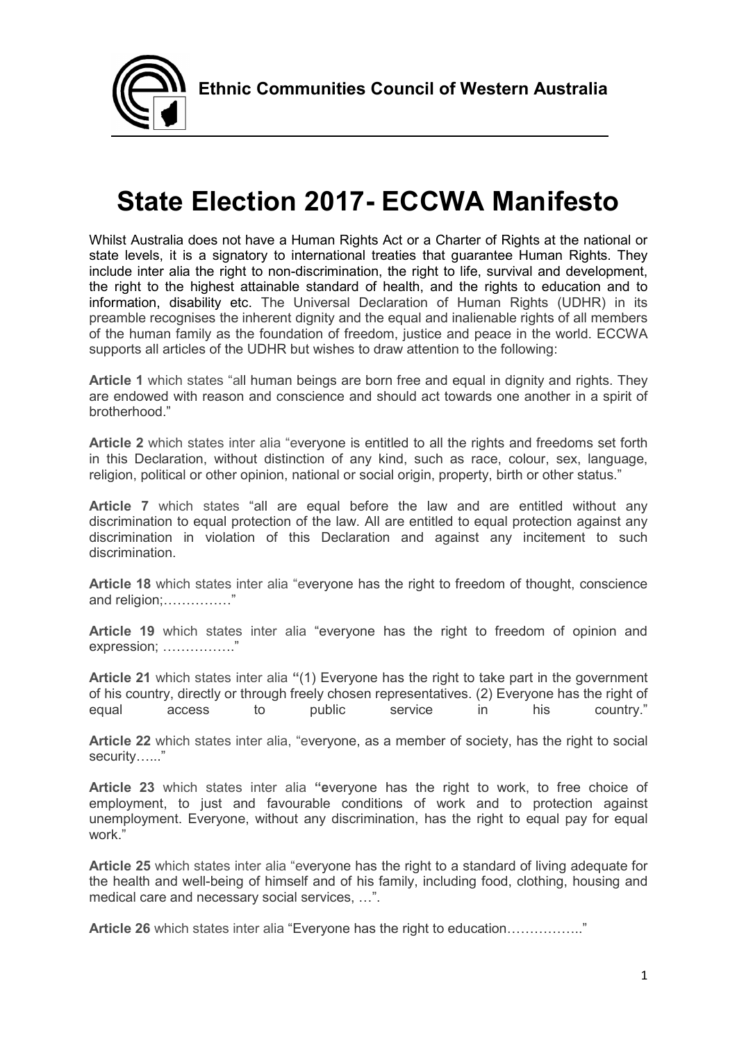

# State Election 2017- ECCWA Manifesto

Whilst Australia does not have a Human Rights Act or a Charter of Rights at the national or state levels, it is a signatory to international treaties that guarantee Human Rights. They include inter alia the right to non-discrimination, the right to life, survival and development, the right to the highest attainable standard of health, and the rights to education and to information, disability etc. The Universal Declaration of Human Rights (UDHR) in its preamble recognises the inherent dignity and the equal and inalienable rights of all members of the human family as the foundation of freedom, justice and peace in the world. ECCWA supports all articles of the UDHR but wishes to draw attention to the following:

Article 1 which states "all human beings are born free and equal in dignity and rights. They are endowed with reason and conscience and should act towards one another in a spirit of brotherhood."

Article 2 which states inter alia "everyone is entitled to all the rights and freedoms set forth in this Declaration, without distinction of any kind, such as race, colour, sex, language, religion, political or other opinion, national or social origin, property, birth or other status."

Article 7 which states "all are equal before the law and are entitled without any discrimination to equal protection of the law. All are entitled to equal protection against any discrimination in violation of this Declaration and against any incitement to such discrimination.

Article 18 which states inter alia "everyone has the right to freedom of thought, conscience and religion;……………"

Article 19 which states inter alia "everyone has the right to freedom of opinion and expression; ……………."

Article 21 which states inter alia "(1) Everyone has the right to take part in the government of his country, directly or through freely chosen representatives. (2) Everyone has the right of equal access to public service in his country."

Article 22 which states inter alia, "everyone, as a member of society, has the right to social security…..."

Article 23 which states inter alia "everyone has the right to work, to free choice of employment, to just and favourable conditions of work and to protection against unemployment. Everyone, without any discrimination, has the right to equal pay for equal work."

Article 25 which states inter alia "everyone has the right to a standard of living adequate for the health and well-being of himself and of his family, including food, clothing, housing and medical care and necessary social services, …".

Article 26 which states inter alia "Everyone has the right to education.............................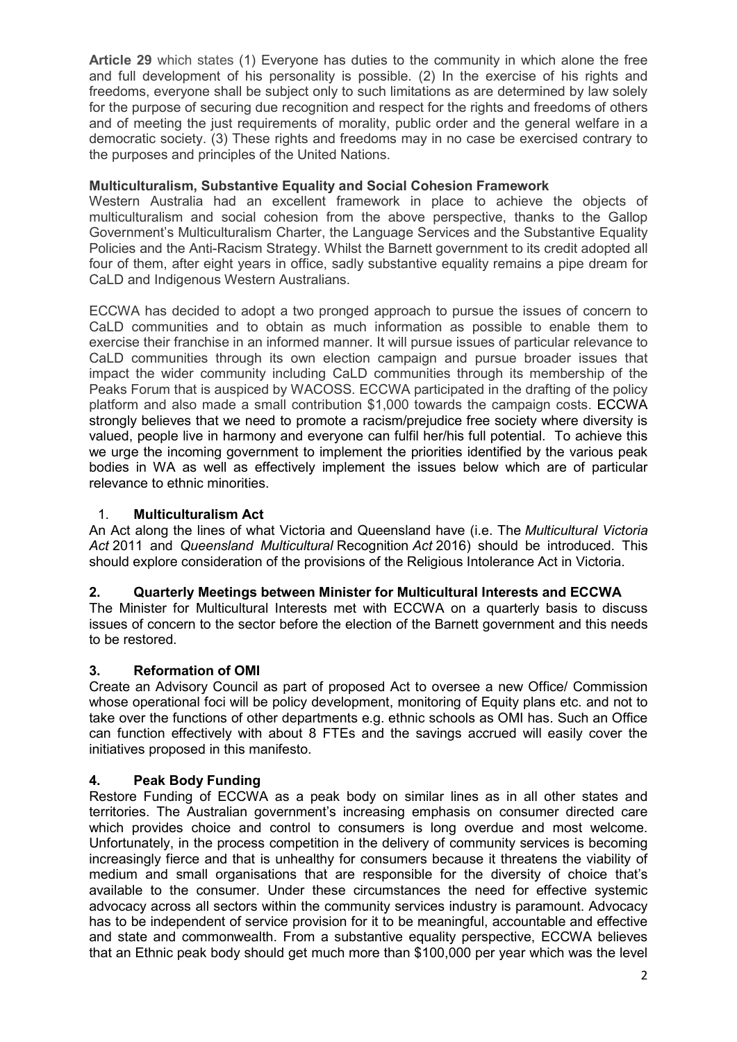Article 29 which states (1) Everyone has duties to the community in which alone the free and full development of his personality is possible. (2) In the exercise of his rights and freedoms, everyone shall be subject only to such limitations as are determined by law solely for the purpose of securing due recognition and respect for the rights and freedoms of others and of meeting the just requirements of morality, public order and the general welfare in a democratic society. (3) These rights and freedoms may in no case be exercised contrary to the purposes and principles of the United Nations.

#### Multiculturalism, Substantive Equality and Social Cohesion Framework

Western Australia had an excellent framework in place to achieve the objects of multiculturalism and social cohesion from the above perspective, thanks to the Gallop Government's Multiculturalism Charter, the Language Services and the Substantive Equality Policies and the Anti-Racism Strategy. Whilst the Barnett government to its credit adopted all four of them, after eight years in office, sadly substantive equality remains a pipe dream for CaLD and Indigenous Western Australians.

ECCWA has decided to adopt a two pronged approach to pursue the issues of concern to CaLD communities and to obtain as much information as possible to enable them to exercise their franchise in an informed manner. It will pursue issues of particular relevance to CaLD communities through its own election campaign and pursue broader issues that impact the wider community including CaLD communities through its membership of the Peaks Forum that is auspiced by WACOSS. ECCWA participated in the drafting of the policy platform and also made a small contribution \$1,000 towards the campaign costs. ECCWA strongly believes that we need to promote a racism/prejudice free society where diversity is valued, people live in harmony and everyone can fulfil her/his full potential. To achieve this we urge the incoming government to implement the priorities identified by the various peak bodies in WA as well as effectively implement the issues below which are of particular relevance to ethnic minorities.

#### 1. Multiculturalism Act

An Act along the lines of what Victoria and Queensland have (i.e. The Multicultural Victoria Act 2011 and Queensland Multicultural Recognition Act 2016) should be introduced. This should explore consideration of the provisions of the Religious Intolerance Act in Victoria.

## 2. Quarterly Meetings between Minister for Multicultural Interests and ECCWA

The Minister for Multicultural Interests met with ECCWA on a quarterly basis to discuss issues of concern to the sector before the election of the Barnett government and this needs to be restored.

## 3. Reformation of OMI

Create an Advisory Council as part of proposed Act to oversee a new Office/ Commission whose operational foci will be policy development, monitoring of Equity plans etc. and not to take over the functions of other departments e.g. ethnic schools as OMI has. Such an Office can function effectively with about 8 FTEs and the savings accrued will easily cover the initiatives proposed in this manifesto.

#### 4. Peak Body Funding

Restore Funding of ECCWA as a peak body on similar lines as in all other states and territories. The Australian government's increasing emphasis on consumer directed care which provides choice and control to consumers is long overdue and most welcome. Unfortunately, in the process competition in the delivery of community services is becoming increasingly fierce and that is unhealthy for consumers because it threatens the viability of medium and small organisations that are responsible for the diversity of choice that's available to the consumer. Under these circumstances the need for effective systemic advocacy across all sectors within the community services industry is paramount. Advocacy has to be independent of service provision for it to be meaningful, accountable and effective and state and commonwealth. From a substantive equality perspective, ECCWA believes that an Ethnic peak body should get much more than \$100,000 per year which was the level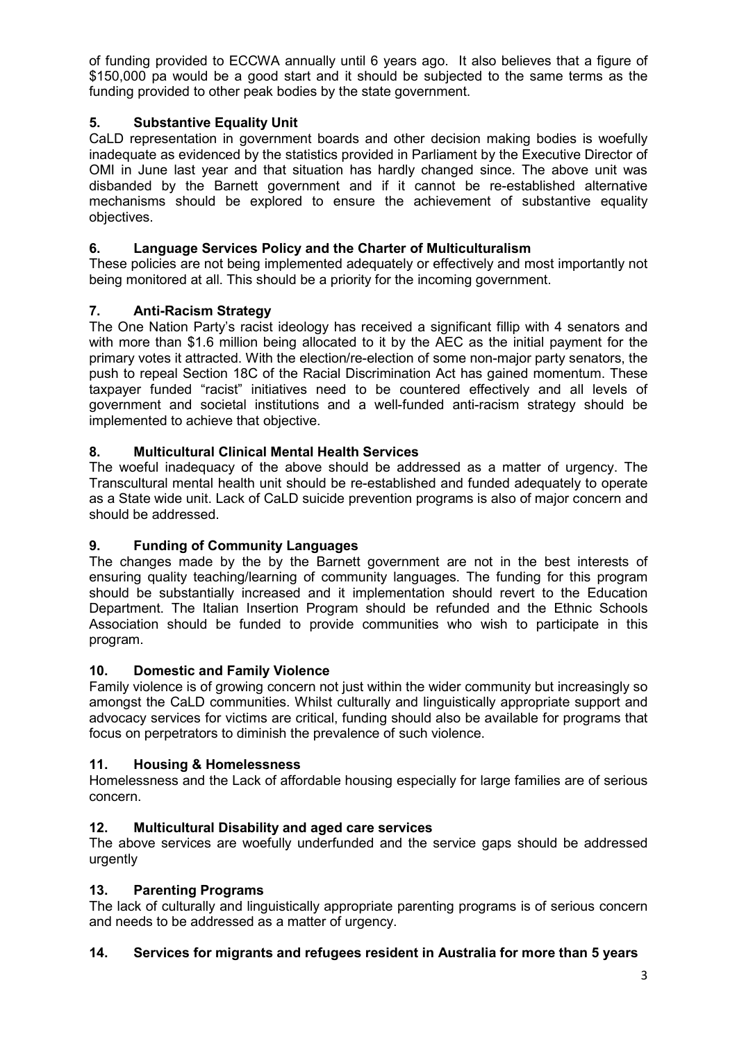of funding provided to ECCWA annually until 6 years ago. It also believes that a figure of \$150,000 pa would be a good start and it should be subjected to the same terms as the funding provided to other peak bodies by the state government.

# 5. Substantive Equality Unit

CaLD representation in government boards and other decision making bodies is woefully inadequate as evidenced by the statistics provided in Parliament by the Executive Director of OMI in June last year and that situation has hardly changed since. The above unit was disbanded by the Barnett government and if it cannot be re-established alternative mechanisms should be explored to ensure the achievement of substantive equality objectives.

## 6. Language Services Policy and the Charter of Multiculturalism

These policies are not being implemented adequately or effectively and most importantly not being monitored at all. This should be a priority for the incoming government.

## 7. Anti-Racism Strategy

The One Nation Party's racist ideology has received a significant fillip with 4 senators and with more than \$1.6 million being allocated to it by the AEC as the initial payment for the primary votes it attracted. With the election/re-election of some non-major party senators, the push to repeal Section 18C of the Racial Discrimination Act has gained momentum. These taxpayer funded "racist" initiatives need to be countered effectively and all levels of government and societal institutions and a well-funded anti-racism strategy should be implemented to achieve that objective.

## 8. Multicultural Clinical Mental Health Services

The woeful inadequacy of the above should be addressed as a matter of urgency. The Transcultural mental health unit should be re-established and funded adequately to operate as a State wide unit. Lack of CaLD suicide prevention programs is also of major concern and should be addressed.

## 9. Funding of Community Languages

The changes made by the by the Barnett government are not in the best interests of ensuring quality teaching/learning of community languages. The funding for this program should be substantially increased and it implementation should revert to the Education Department. The Italian Insertion Program should be refunded and the Ethnic Schools Association should be funded to provide communities who wish to participate in this program.

## 10. Domestic and Family Violence

Family violence is of growing concern not just within the wider community but increasingly so amongst the CaLD communities. Whilst culturally and linguistically appropriate support and advocacy services for victims are critical, funding should also be available for programs that focus on perpetrators to diminish the prevalence of such violence.

## 11. Housing & Homelessness

Homelessness and the Lack of affordable housing especially for large families are of serious concern.

## 12. Multicultural Disability and aged care services

The above services are woefully underfunded and the service gaps should be addressed urgently

## 13. Parenting Programs

The lack of culturally and linguistically appropriate parenting programs is of serious concern and needs to be addressed as a matter of urgency.

## 14. Services for migrants and refugees resident in Australia for more than 5 years